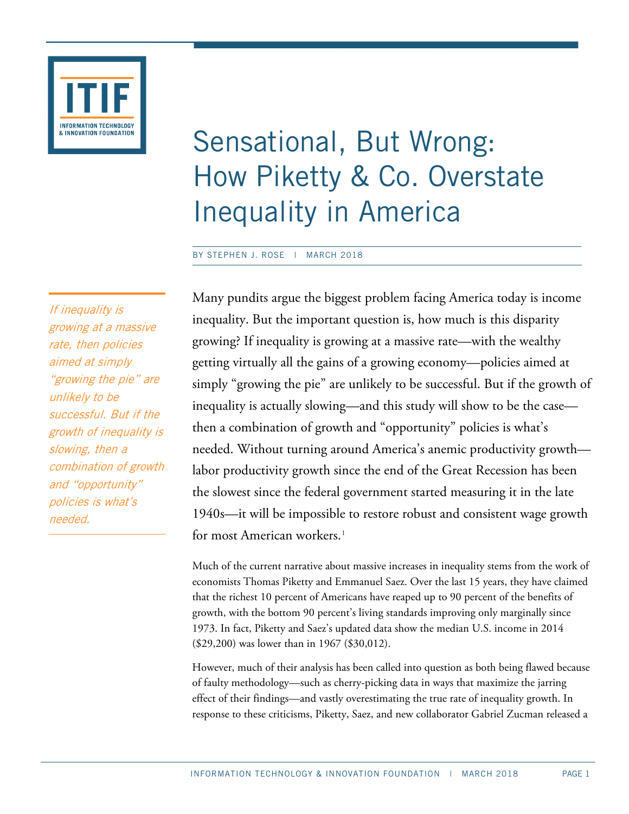

# Sensational, But Wrong: How Piketty & Co. Overstate Inequality in America

BY STEPHEN J. ROSE | MARCH 2018

If inequality is growing at a massive rate, then policies aimed at simply "growing the pie" are unlikely to be successful. But if the growth of inequality is slowing, then a combination of growth and "opportunity" policies is what's needed.

Many pundits argue the biggest problem facing America today is income inequality. But the important question is, how much is this disparity growing? If inequality is growing at a massive rate—with the wealthy getting virtually all the gains of a growing economy—policies aimed at simply "growing the pie" are unlikely to be successful. But if the growth of inequality is actually slowing—and this study will show to be the case then a combination of growth and "opportunity" policies is what's needed. Without turning around America's anemic productivity growth labor productivity growth since the end of the Great Recession has been the slowest since the federal government started measuring it in the late 1940s—it will be impossible to restore robust and consistent wage growth for most American workers.<sup>[1](#page-9-0)</sup>

Much of the current narrative about massive increases in inequality stems from the work of economists Thomas Piketty and Emmanuel Saez. Over the last 15 years, they have claimed that the richest 10 percent of Americans have reaped up to 90 percent of the benefits of growth, with the bottom 90 percent's living standards improving only marginally since 1973. In fact, Piketty and Saez's updated data show the median U.S. income in 2014 (\$29,200) was lower than in 1967 (\$30,012).

However, much of their analysis has been called into question as both being flawed because of faulty methodology—such as cherry-picking data in ways that maximize the jarring effect of their findings—and vastly overestimating the true rate of inequality growth. In response to these criticisms, Piketty, Saez, and new collaborator Gabriel Zucman released a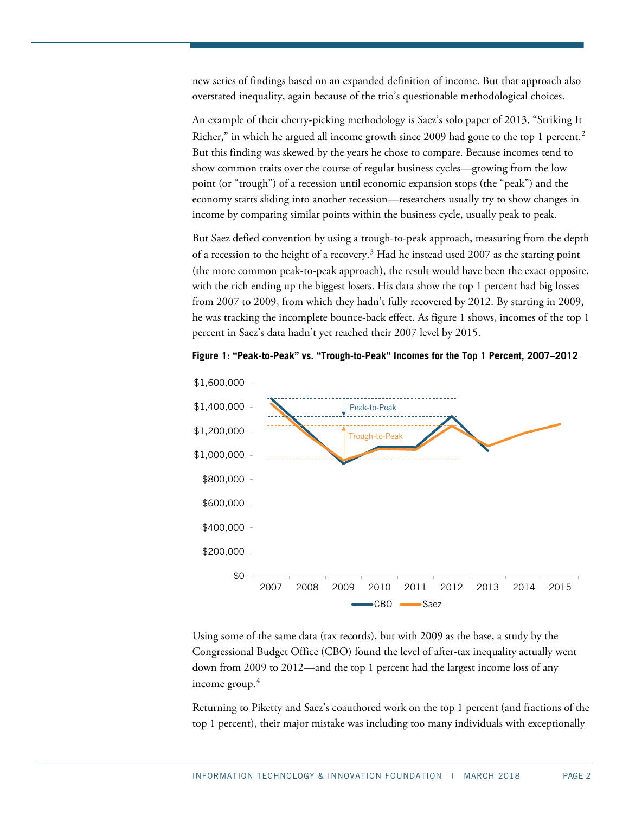new series of findings based on an expanded definition of income. But that approach also overstated inequality, again because of the trio's questionable methodological choices.

An example of their cherry-picking methodology is Saez's solo paper of 2013, "Striking It Richer," in which he argued all income growth since [2](#page-9-1)009 had gone to the top 1 percent.<sup>2</sup> But this finding was skewed by the years he chose to compare. Because incomes tend to show common traits over the course of regular business cycles—growing from the low point (or "trough") of a recession until economic expansion stops (the "peak") and the economy starts sliding into another recession—researchers usually try to show changes in income by comparing similar points within the business cycle, usually peak to peak.

But Saez defied convention by using a trough-to-peak approach, measuring from the depth of a recession to the height of a recovery. [3](#page-9-2) Had he instead used 2007 as the starting point (the more common peak-to-peak approach), the result would have been the exact opposite, with the rich ending up the biggest losers. His data show the top 1 percent had big losses from 2007 to 2009, from which they hadn't fully recovered by 2012. By starting in 2009, he was tracking the incomplete bounce-back effect. As [figure 1](#page-1-0) shows, incomes of the top 1 percent in Saez's data hadn't yet reached their 2007 level by 2015.

<span id="page-1-0"></span>



Using some of the same data (tax records), but with 2009 as the base, a study by the Congressional Budget Office (CBO) found the level of after-tax inequality actually went down from 2009 to 2012—and the top 1 percent had the largest income loss of any income group. [4](#page-9-3)

Returning to Piketty and Saez's coauthored work on the top 1 percent (and fractions of the top 1 percent), their major mistake was including too many individuals with exceptionally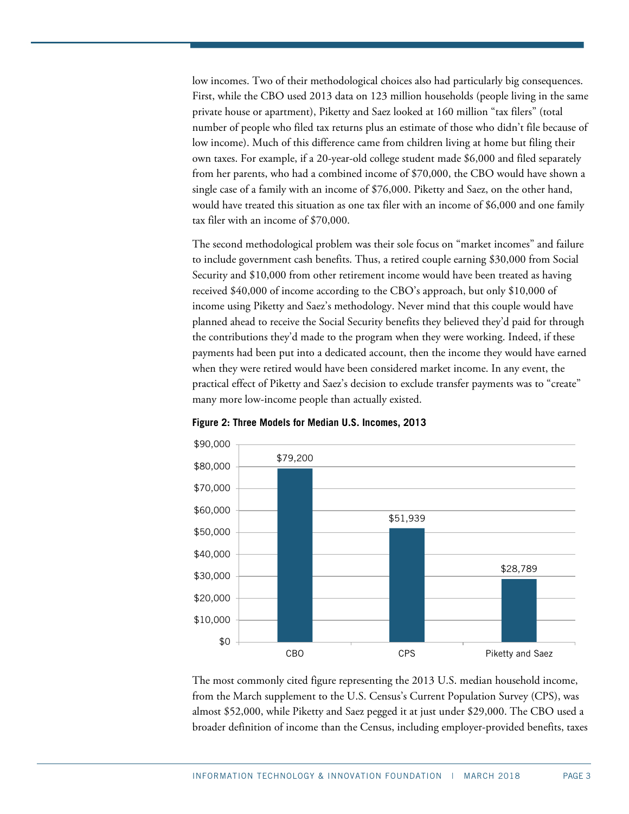low incomes. Two of their methodological choices also had particularly big consequences. First, while the CBO used 2013 data on 123 million households (people living in the same private house or apartment), Piketty and Saez looked at 160 million "tax filers" (total number of people who filed tax returns plus an estimate of those who didn't file because of low income). Much of this difference came from children living at home but filing their own taxes. For example, if a 20-year-old college student made \$6,000 and filed separately from her parents, who had a combined income of \$70,000, the CBO would have shown a single case of a family with an income of \$76,000. Piketty and Saez, on the other hand, would have treated this situation as one tax filer with an income of \$6,000 and one family tax filer with an income of \$70,000.

The second methodological problem was their sole focus on "market incomes" and failure to include government cash benefits. Thus, a retired couple earning \$30,000 from Social Security and \$10,000 from other retirement income would have been treated as having received \$40,000 of income according to the CBO's approach, but only \$10,000 of income using Piketty and Saez's methodology. Never mind that this couple would have planned ahead to receive the Social Security benefits they believed they'd paid for through the contributions they'd made to the program when they were working. Indeed, if these payments had been put into a dedicated account, then the income they would have earned when they were retired would have been considered market income. In any event, the practical effect of Piketty and Saez's decision to exclude transfer payments was to "create" many more low-income people than actually existed.



<span id="page-2-0"></span>**Figure 2: Three Models for Median U.S. Incomes, 2013**

The most commonly cited figure representing the 2013 U.S. median household income, from the March supplement to the U.S. Census's Current Population Survey (CPS), was almost \$52,000, while Piketty and Saez pegged it at just under \$29,000. The CBO used a broader definition of income than the Census, including employer-provided benefits, taxes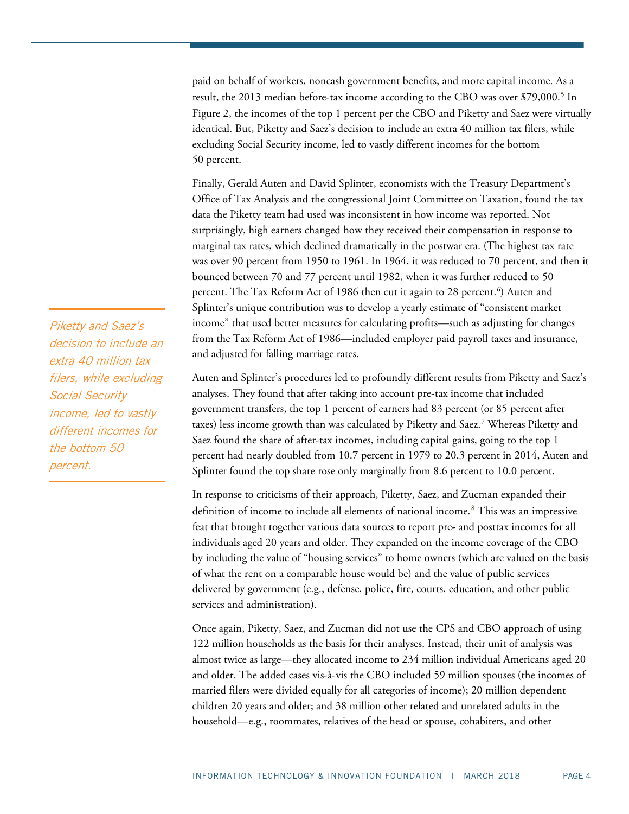paid on behalf of workers, noncash government benefits, and more capital income. As a result, the 2013 median before-tax income according to the CBO was over \$79,000.<sup>[5](#page-9-4)</sup> In [Figure 2,](#page-2-0) the incomes of the top 1 percent per the CBO and Piketty and Saez were virtually identical. But, Piketty and Saez's decision to include an extra 40 million tax filers, while excluding Social Security income, led to vastly different incomes for the bottom 50 percent.

Finally, Gerald Auten and David Splinter, economists with the Treasury Department's Office of Tax Analysis and the congressional Joint Committee on Taxation, found the tax data the Piketty team had used was inconsistent in how income was reported. Not surprisingly, high earners changed how they received their compensation in response to marginal tax rates, which declined dramatically in the postwar era. (The highest tax rate was over 90 percent from 1950 to 1961. In 1964, it was reduced to 70 percent, and then it bounced between 70 and 77 percent until 1982, when it was further reduced to 50 percent. The Tax Reform Act of 1986 then cut it again to 28 percent. [6](#page-9-5) ) Auten and Splinter's unique contribution was to develop a yearly estimate of "consistent market income" that used better measures for calculating profits—such as adjusting for changes from the Tax Reform Act of 1986—included employer paid payroll taxes and insurance, and adjusted for falling marriage rates.

Auten and Splinter's procedures led to profoundly different results from Piketty and Saez's analyses. They found that after taking into account pre-tax income that included government transfers, the top 1 percent of earners had 83 percent (or 85 percent after taxes) less income growth than was calculated by Piketty and Saez.<sup>[7](#page-9-6)</sup> Whereas Piketty and Saez found the share of after-tax incomes, including capital gains, going to the top 1 percent had nearly doubled from 10.7 percent in 1979 to 20.3 percent in 2014, Auten and Splinter found the top share rose only marginally from 8.6 percent to 10.0 percent.

In response to criticisms of their approach, Piketty, Saez, and Zucman expanded their definition of income to include all elements of national income. [8](#page-9-7) This was an impressive feat that brought together various data sources to report pre- and posttax incomes for all individuals aged 20 years and older. They expanded on the income coverage of the CBO by including the value of "housing services" to home owners (which are valued on the basis of what the rent on a comparable house would be) and the value of public services delivered by government (e.g., defense, police, fire, courts, education, and other public services and administration).

Once again, Piketty, Saez, and Zucman did not use the CPS and CBO approach of using 122 million households as the basis for their analyses. Instead, their unit of analysis was almost twice as large—they allocated income to 234 million individual Americans aged 20 and older. The added cases vis-à-vis the CBO included 59 million spouses (the incomes of married filers were divided equally for all categories of income); 20 million dependent children 20 years and older; and 38 million other related and unrelated adults in the household—e.g., roommates, relatives of the head or spouse, cohabiters, and other

Piketty and Saez's decision to include an extra 40 million tax filers, while excluding Social Security income, led to vastly different incomes for the bottom 50 percent.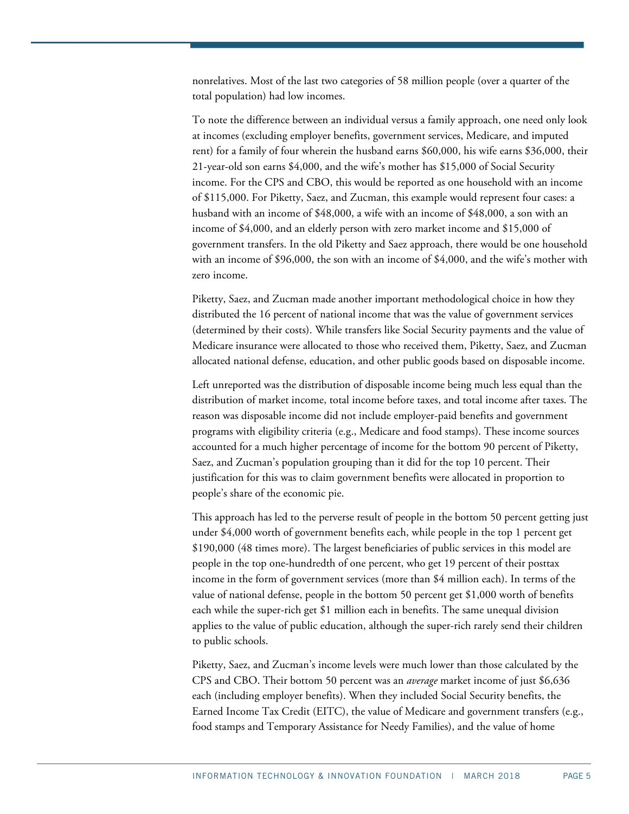nonrelatives. Most of the last two categories of 58 million people (over a quarter of the total population) had low incomes.

To note the difference between an individual versus a family approach, one need only look at incomes (excluding employer benefits, government services, Medicare, and imputed rent) for a family of four wherein the husband earns \$60,000, his wife earns \$36,000, their 21-year-old son earns \$4,000, and the wife's mother has \$15,000 of Social Security income. For the CPS and CBO, this would be reported as one household with an income of \$115,000. For Piketty, Saez, and Zucman, this example would represent four cases: a husband with an income of \$48,000, a wife with an income of \$48,000, a son with an income of \$4,000, and an elderly person with zero market income and \$15,000 of government transfers. In the old Piketty and Saez approach, there would be one household with an income of \$96,000, the son with an income of \$4,000, and the wife's mother with zero income.

Piketty, Saez, and Zucman made another important methodological choice in how they distributed the 16 percent of national income that was the value of government services (determined by their costs). While transfers like Social Security payments and the value of Medicare insurance were allocated to those who received them, Piketty, Saez, and Zucman allocated national defense, education, and other public goods based on disposable income.

Left unreported was the distribution of disposable income being much less equal than the distribution of market income, total income before taxes, and total income after taxes. The reason was disposable income did not include employer-paid benefits and government programs with eligibility criteria (e.g., Medicare and food stamps). These income sources accounted for a much higher percentage of income for the bottom 90 percent of Piketty, Saez, and Zucman's population grouping than it did for the top 10 percent. Their justification for this was to claim government benefits were allocated in proportion to people's share of the economic pie.

This approach has led to the perverse result of people in the bottom 50 percent getting just under \$4,000 worth of government benefits each, while people in the top 1 percent get \$190,000 (48 times more). The largest beneficiaries of public services in this model are people in the top one-hundredth of one percent, who get 19 percent of their posttax income in the form of government services (more than \$4 million each). In terms of the value of national defense, people in the bottom 50 percent get \$1,000 worth of benefits each while the super-rich get \$1 million each in benefits. The same unequal division applies to the value of public education, although the super-rich rarely send their children to public schools.

Piketty, Saez, and Zucman's income levels were much lower than those calculated by the CPS and CBO. Their bottom 50 percent was an *average* market income of just \$6,636 each (including employer benefits). When they included Social Security benefits, the Earned Income Tax Credit (EITC), the value of Medicare and government transfers (e.g., food stamps and Temporary Assistance for Needy Families), and the value of home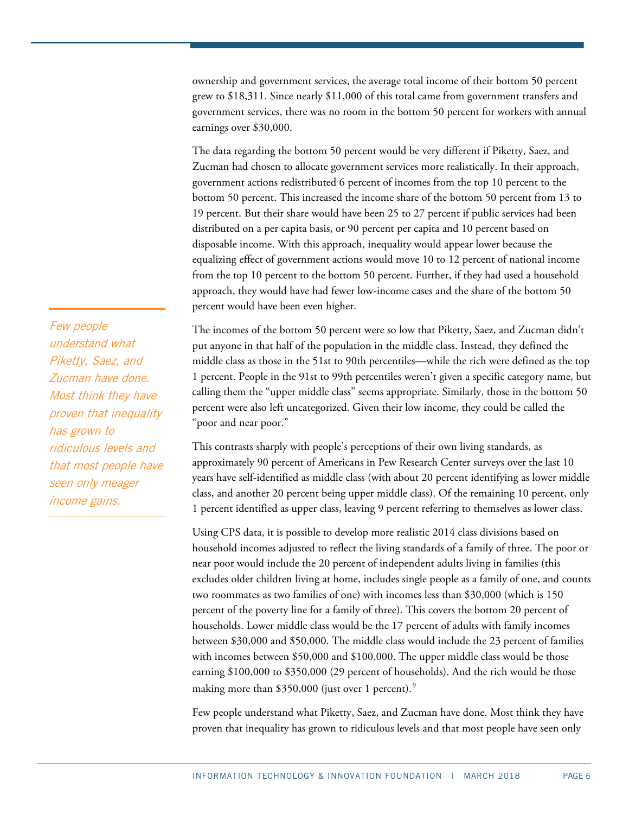ownership and government services, the average total income of their bottom 50 percent grew to \$18,311. Since nearly \$11,000 of this total came from government transfers and government services, there was no room in the bottom 50 percent for workers with annual earnings over \$30,000.

The data regarding the bottom 50 percent would be very different if Piketty, Saez, and Zucman had chosen to allocate government services more realistically. In their approach, government actions redistributed 6 percent of incomes from the top 10 percent to the bottom 50 percent. This increased the income share of the bottom 50 percent from 13 to 19 percent. But their share would have been 25 to 27 percent if public services had been distributed on a per capita basis, or 90 percent per capita and 10 percent based on disposable income. With this approach, inequality would appear lower because the equalizing effect of government actions would move 10 to 12 percent of national income from the top 10 percent to the bottom 50 percent. Further, if they had used a household approach, they would have had fewer low-income cases and the share of the bottom 50 percent would have been even higher.

The incomes of the bottom 50 percent were so low that Piketty, Saez, and Zucman didn't put anyone in that half of the population in the middle class. Instead, they defined the middle class as those in the 51st to 90th percentiles—while the rich were defined as the top 1 percent. People in the 91st to 99th percentiles weren't given a specific category name, but calling them the "upper middle class" seems appropriate. Similarly, those in the bottom 50 percent were also left uncategorized. Given their low income, they could be called the "poor and near poor."

This contrasts sharply with people's perceptions of their own living standards, as approximately 90 percent of Americans in Pew Research Center surveys over the last 10 years have self-identified as middle class (with about 20 percent identifying as lower middle class, and another 20 percent being upper middle class). Of the remaining 10 percent, only 1 percent identified as upper class, leaving 9 percent referring to themselves as lower class.

Using CPS data, it is possible to develop more realistic 2014 class divisions based on household incomes adjusted to reflect the living standards of a family of three. The poor or near poor would include the 20 percent of independent adults living in families (this excludes older children living at home, includes single people as a family of one, and counts two roommates as two families of one) with incomes less than \$30,000 (which is 150 percent of the poverty line for a family of three). This covers the bottom 20 percent of households. Lower middle class would be the 17 percent of adults with family incomes between \$30,000 and \$50,000. The middle class would include the 23 percent of families with incomes between \$50,000 and \$100,000. The upper middle class would be those earning \$100,000 to \$350,000 (29 percent of households). And the rich would be those making more than \$350,000 (just over 1 percent).<sup>[9](#page-9-8)</sup>

Few people understand what Piketty, Saez, and Zucman have done. Most think they have proven that inequality has grown to ridiculous levels and that most people have seen only

Few people understand what Piketty, Saez, and Zucman have done. Most think they have proven that inequality has grown to ridiculous levels and that most people have seen only meager income gains.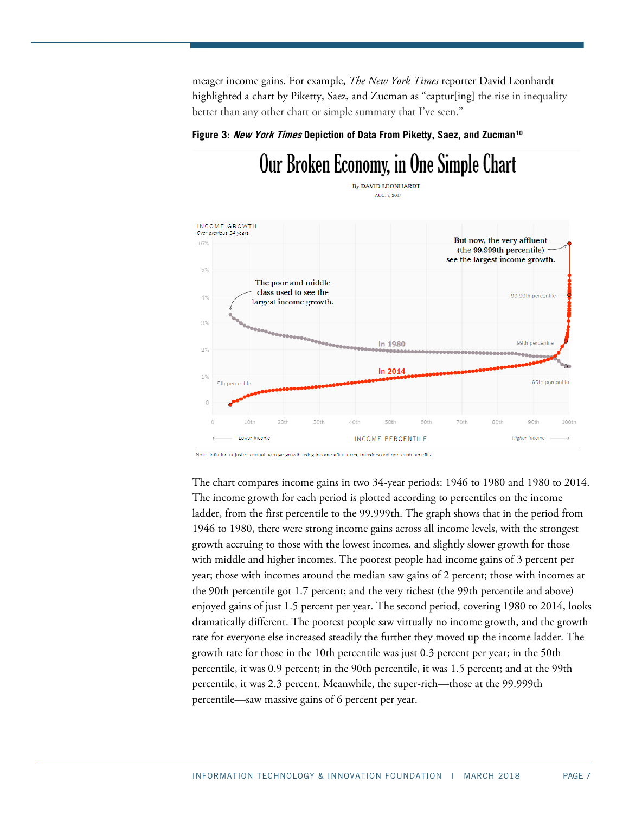meager income gains. For example, *The New York Times* reporter David Leonhardt highlighted a chart by Piketty, Saez, and Zucman as "captur[ing] the rise in inequality better than any other chart or simple summary that I've seen."

Our Broken Economy, in One Simple Chart

### **Figure 3: New York Times Depiction of Data From Piketty, Saez, and Zucman[10](#page-9-9)**

#### **By DAVID LEONHARDT** AUG. 7, 2017 INCOME GROWTH Over previous 34 yea But now, the very affluent  $+6%$ (the 99.999th percentile) see the largest income growth. 5% The poor and middle class used to see the 99.99th percentile  $4%$ largest income growth. 3% 99th percent In 1980  $29$ In 2014  $1%$ 99th percentile 5th percentile  $\circ$  $\mathbb{C}$ 10th 20th 30th 40th 50th 60th 70th 80th 90th 100th Lower Income **INCOME PERCENTILE Higher Income** Note: Inflation-adjusted annual average growth using income after taxes, transfers and non-cash benefits

The chart compares income gains in two 34-year periods: 1946 to 1980 and 1980 to 2014. The income growth for each period is plotted according to percentiles on the income ladder, from the first percentile to the 99.999th. The graph shows that in the period from 1946 to 1980, there were strong income gains across all income levels, with the strongest growth accruing to those with the lowest incomes. and slightly slower growth for those with middle and higher incomes. The poorest people had income gains of 3 percent per year; those with incomes around the median saw gains of 2 percent; those with incomes at the 90th percentile got 1.7 percent; and the very richest (the 99th percentile and above) enjoyed gains of just 1.5 percent per year. The second period, covering 1980 to 2014, looks dramatically different. The poorest people saw virtually no income growth, and the growth rate for everyone else increased steadily the further they moved up the income ladder. The growth rate for those in the 10th percentile was just 0.3 percent per year; in the 50th percentile, it was 0.9 percent; in the 90th percentile, it was 1.5 percent; and at the 99th percentile, it was 2.3 percent. Meanwhile, the super-rich—those at the 99.999th percentile—saw massive gains of 6 percent per year.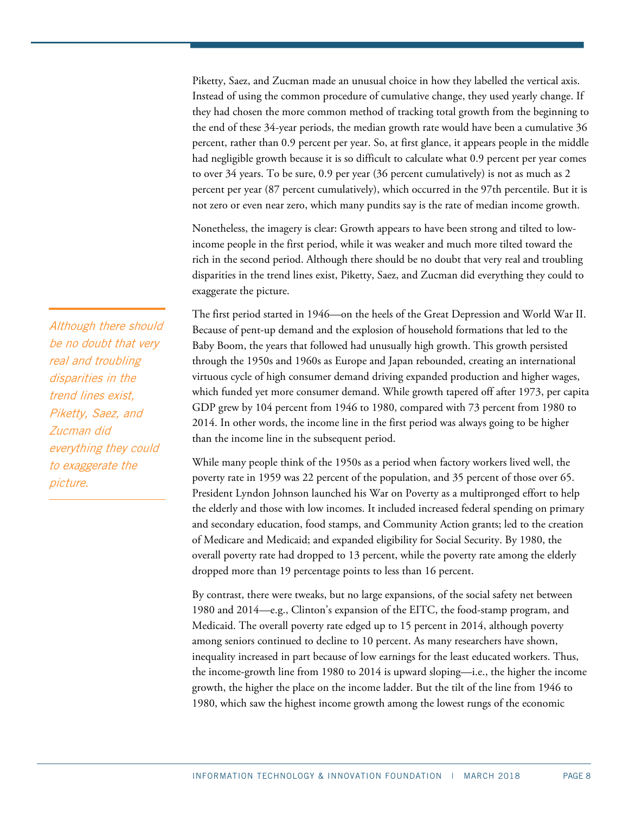Piketty, Saez, and Zucman made an unusual choice in how they labelled the vertical axis. Instead of using the common procedure of cumulative change, they used yearly change. If they had chosen the more common method of tracking total growth from the beginning to the end of these 34-year periods, the median growth rate would have been a cumulative 36 percent, rather than 0.9 percent per year. So, at first glance, it appears people in the middle had negligible growth because it is so difficult to calculate what 0.9 percent per year comes to over 34 years. To be sure, 0.9 per year (36 percent cumulatively) is not as much as 2 percent per year (87 percent cumulatively), which occurred in the 97th percentile. But it is not zero or even near zero, which many pundits say is the rate of median income growth.

Nonetheless, the imagery is clear: Growth appears to have been strong and tilted to lowincome people in the first period, while it was weaker and much more tilted toward the rich in the second period. Although there should be no doubt that very real and troubling disparities in the trend lines exist, Piketty, Saez, and Zucman did everything they could to exaggerate the picture.

The first period started in 1946—on the heels of the Great Depression and World War II. Because of pent-up demand and the explosion of household formations that led to the Baby Boom, the years that followed had unusually high growth. This growth persisted through the 1950s and 1960s as Europe and Japan rebounded, creating an international virtuous cycle of high consumer demand driving expanded production and higher wages, which funded yet more consumer demand. While growth tapered off after 1973, per capita GDP grew by 104 percent from 1946 to 1980, compared with 73 percent from 1980 to 2014. In other words, the income line in the first period was always going to be higher than the income line in the subsequent period.

While many people think of the 1950s as a period when factory workers lived well, the poverty rate in 1959 was 22 percent of the population, and 35 percent of those over 65. President Lyndon Johnson launched his War on Poverty as a multipronged effort to help the elderly and those with low incomes. It included increased federal spending on primary and secondary education, food stamps, and Community Action grants; led to the creation of Medicare and Medicaid; and expanded eligibility for Social Security. By 1980, the overall poverty rate had dropped to 13 percent, while the poverty rate among the elderly dropped more than 19 percentage points to less than 16 percent.

By contrast, there were tweaks, but no large expansions, of the social safety net between 1980 and 2014—e.g., Clinton's expansion of the EITC, the food-stamp program, and Medicaid. The overall poverty rate edged up to 15 percent in 2014, although poverty among seniors continued to decline to 10 percent. As many researchers have shown, inequality increased in part because of low earnings for the least educated workers. Thus, the income-growth line from 1980 to 2014 is upward sloping—i.e., the higher the income growth, the higher the place on the income ladder. But the tilt of the line from 1946 to 1980, which saw the highest income growth among the lowest rungs of the economic

Although there should be no doubt that very real and troubling disparities in the trend lines exist, Piketty, Saez, and Zucman did everything they could to exaggerate the picture.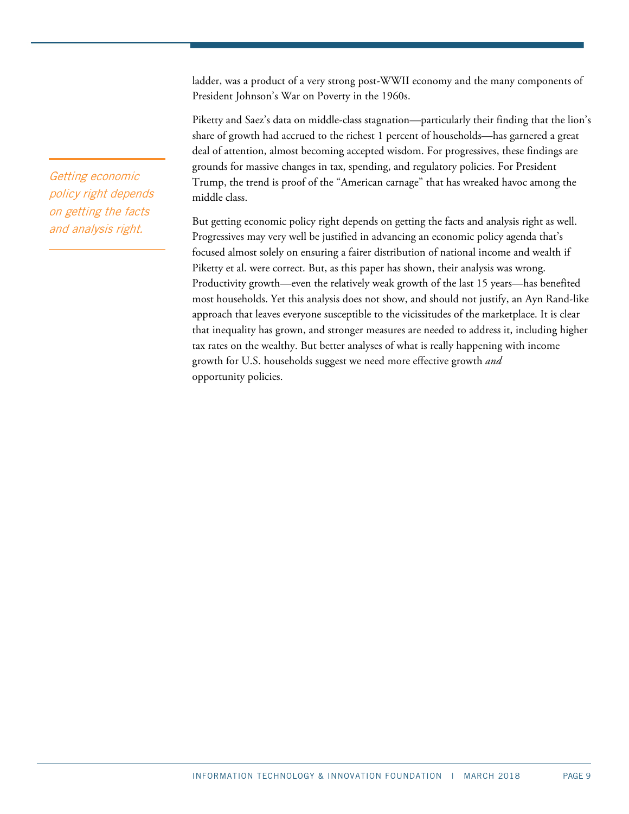ladder, was a product of a very strong post-WWII economy and the many components of President Johnson's War on Poverty in the 1960s.

Piketty and Saez's data on middle-class stagnation—particularly their finding that the lion's share of growth had accrued to the richest 1 percent of households—has garnered a great deal of attention, almost becoming accepted wisdom. For progressives, these findings are grounds for massive changes in tax, spending, and regulatory policies. For President Trump, the trend is proof of the "American carnage" that has wreaked havoc among the middle class.

But getting economic policy right depends on getting the facts and analysis right as well. Progressives may very well be justified in advancing an economic policy agenda that's focused almost solely on ensuring a fairer distribution of national income and wealth if Piketty et al. were correct. But, as this paper has shown, their analysis was wrong. Productivity growth—even the relatively weak growth of the last 15 years—has benefited most households. Yet this analysis does not show, and should not justify, an Ayn Rand-like approach that leaves everyone susceptible to the vicissitudes of the marketplace. It is clear that inequality has grown, and stronger measures are needed to address it, including higher tax rates on the wealthy. But better analyses of what is really happening with income growth for U.S. households suggest we need more effective growth *and* opportunity policies.

Getting economic policy right depends on getting the facts and analysis right.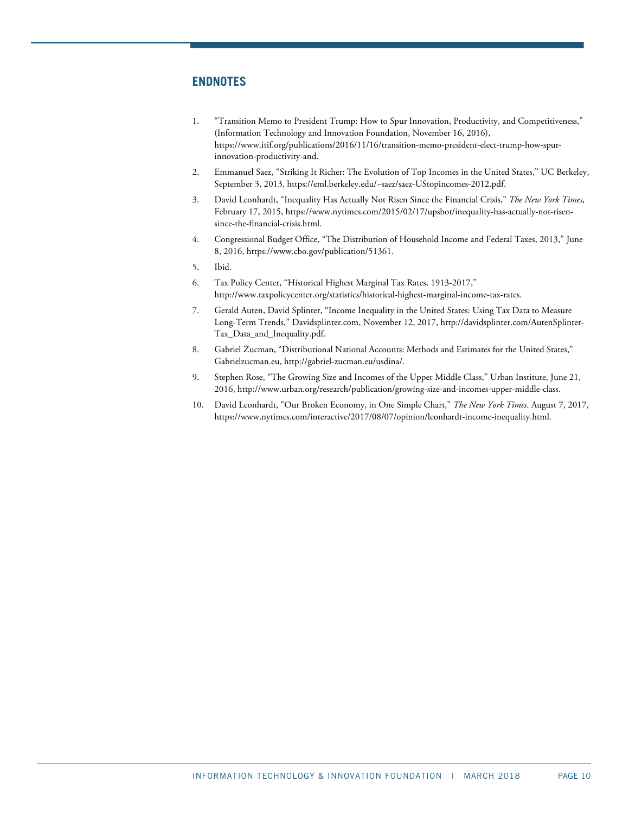# **ENDNOTES**

- <span id="page-9-0"></span>1. "Transition Memo to President Trump: How to Spur Innovation, Productivity, and Competitiveness," (Information Technology and Innovation Foundation, November 16, 2016), [https://www.itif.org/publications/2016/11/16/transition-memo-president-elect-trump-how-spur](https://www.itif.org/publications/2016/11/16/transition-memo-president-elect-trump-how-spur-innovation-productivity-and)[innovation-productivity-and.](https://www.itif.org/publications/2016/11/16/transition-memo-president-elect-trump-how-spur-innovation-productivity-and)
- <span id="page-9-1"></span>2. Emmanuel Saez, "Striking It Richer: The Evolution of Top Incomes in the United States," UC Berkeley, September 3, 2013, [https://eml.berkeley.edu/~saez/saez-UStopincomes-2012.pdf.](https://eml.berkeley.edu/%7Esaez/saez-UStopincomes-2012.pdf)
- <span id="page-9-2"></span>3. David Leonhardt, "Inequality Has Actually Not Risen Since the Financial Crisis," *The New York Times*, February 17, 2015, [https://www.nytimes.com/2015/02/17/upshot/inequality-has-actually-not-risen](https://www.nytimes.com/2015/02/17/upshot/inequality-has-actually-not-risen-since-the-financial-crisis.html)[since-the-financial-crisis.html.](https://www.nytimes.com/2015/02/17/upshot/inequality-has-actually-not-risen-since-the-financial-crisis.html)
- <span id="page-9-3"></span>4. Congressional Budget Office, "The Distribution of Household Income and Federal Taxes, 2013," June 8, 2016, [https://www.cbo.gov/publication/51361.](https://www.cbo.gov/publication/51361)
- <span id="page-9-4"></span>5. Ibid.
- <span id="page-9-5"></span>6. Tax Policy Center, "Historical Highest Marginal Tax Rates, 1913-2017," [http://www.taxpolicycenter.org/statistics/historical-highest-marginal-income-tax-rates.](http://www.taxpolicycenter.org/statistics/historical-highest-marginal-income-tax-rates)
- <span id="page-9-6"></span>7. Gerald Auten, David Splinter, "Income Inequality in the United States: Using Tax Data to Measure Long-Term Trends," Davidsplinter.com, November 12, 2017, [http://davidsplinter.com/AutenSplinter-](http://davidsplinter.com/AutenSplinter-Tax_Data_and_Inequality.pdf)[Tax\\_Data\\_and\\_Inequality.pdf.](http://davidsplinter.com/AutenSplinter-Tax_Data_and_Inequality.pdf)
- <span id="page-9-7"></span>8. Gabriel Zucman, "Distributional National Accounts: Methods and Estimates for the United States," Gabrielzucman.eu[, http://gabriel-zucman.eu/usdina/.](http://gabriel-zucman.eu/usdina/)
- <span id="page-9-8"></span>9. Stephen Rose, "The Growing Size and Incomes of the Upper Middle Class," Urban Institute, June 21, 2016, [http://www.urban.org/research/publication/growing-size-and-incomes-upper-middle-class.](http://www.urban.org/research/publication/growing-size-and-incomes-upper-middle-class)
- <span id="page-9-9"></span>10. David Leonhardt, "Our Broken Economy, in One Simple Chart," *The New York Times*. August 7, 2017, [https://www.nytimes.com/interactive/2017/08/07/opinion/leonhardt-income-inequality.html.](https://www.nytimes.com/interactive/2017/08/07/opinion/leonhardt-income-inequality.html)